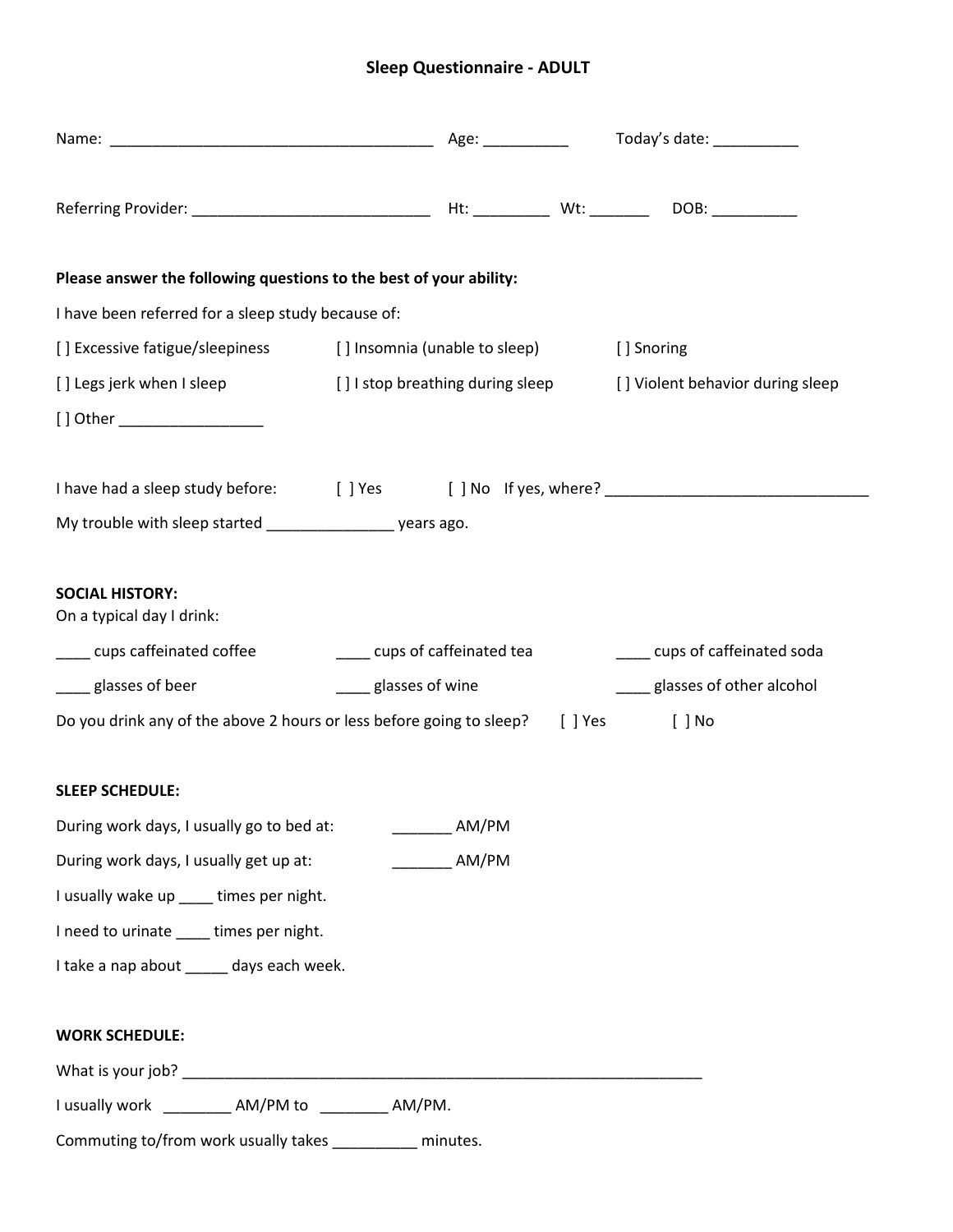## **Sleep Questionnaire - ADULT**

| Please answer the following questions to the best of your ability:                          |  |                     |  |                              |                               |
|---------------------------------------------------------------------------------------------|--|---------------------|--|------------------------------|-------------------------------|
| I have been referred for a sleep study because of:                                          |  |                     |  |                              |                               |
| [] Excessive fatigue/sleepiness [] Insomnia (unable to sleep)                               |  |                     |  | [] Snoring                   |                               |
| [] Legs jerk when I sleep [] I stop breathing during sleep [] Violent behavior during sleep |  |                     |  |                              |                               |
| [] Other ____________________                                                               |  |                     |  |                              |                               |
|                                                                                             |  |                     |  |                              |                               |
| My trouble with sleep started ___________________ years ago.                                |  |                     |  |                              |                               |
| <b>SOCIAL HISTORY:</b><br>On a typical day I drink:                                         |  |                     |  |                              |                               |
| ____ cups caffeinated coffee _____________ cups of caffeinated tea                          |  |                     |  |                              | ____ cups of caffeinated soda |
| ____ glasses of beer<br>____ glasses of wine                                                |  |                     |  | ____glasses of other alcohol |                               |
| Do you drink any of the above 2 hours or less before going to sleep? [ ] Yes                |  |                     |  | [ ] No                       |                               |
| <b>SLEEP SCHEDULE:</b>                                                                      |  |                     |  |                              |                               |
| During work days, I usually go to bed at: ____________ AM/PM                                |  |                     |  |                              |                               |
| During work days, I usually get up at:                                                      |  | $\frac{1}{2}$ AM/PM |  |                              |                               |
| I usually wake up ____ times per night.                                                     |  |                     |  |                              |                               |
| I need to urinate ____ times per night.                                                     |  |                     |  |                              |                               |
| I take a nap about _____ days each week.                                                    |  |                     |  |                              |                               |
| <b>WORK SCHEDULE:</b>                                                                       |  |                     |  |                              |                               |
|                                                                                             |  |                     |  |                              |                               |
| I usually work ____________ AM/PM to __________ AM/PM.                                      |  |                     |  |                              |                               |
| Commuting to/from work usually takes _________ minutes.                                     |  |                     |  |                              |                               |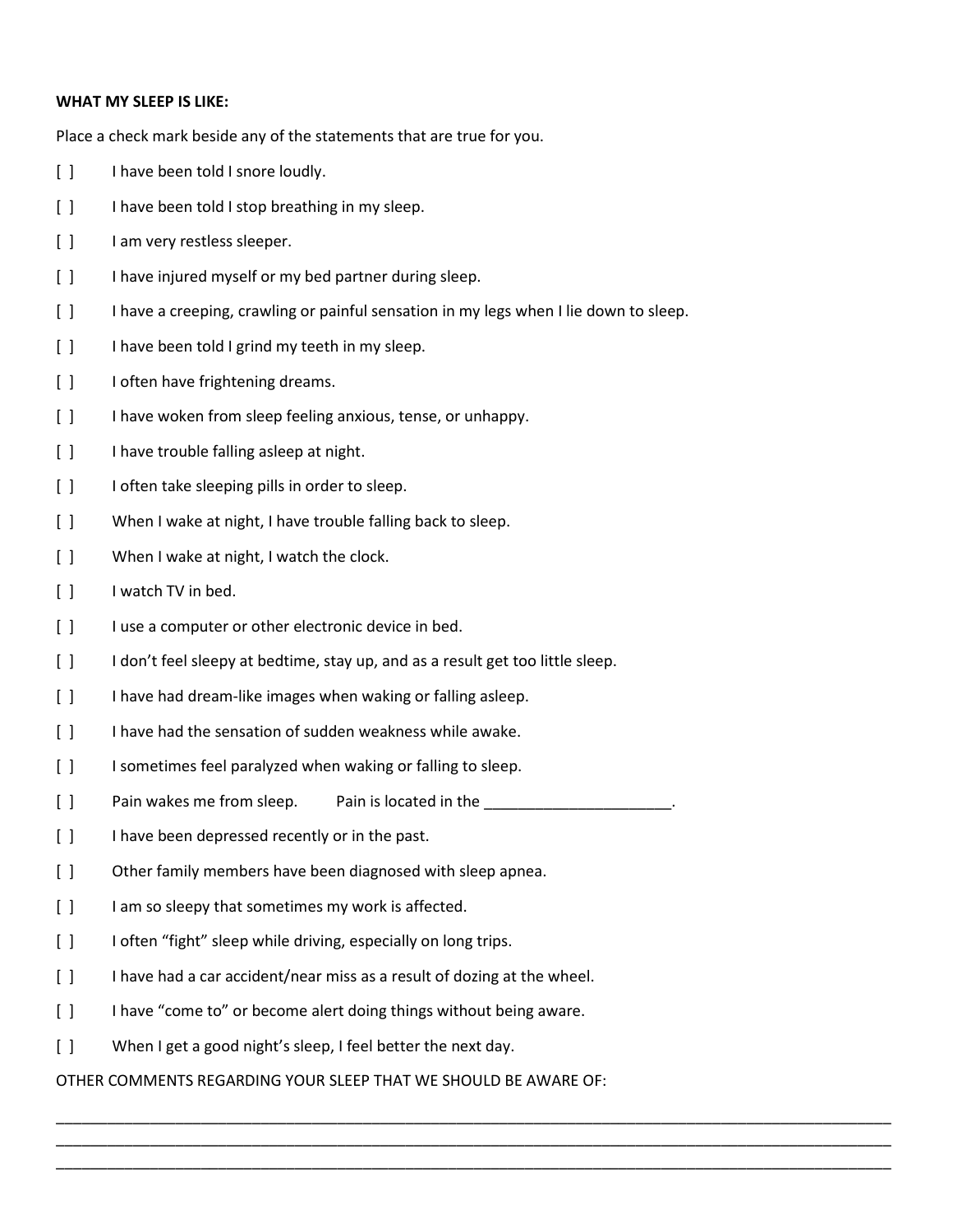## **WHAT MY SLEEP IS LIKE:**

Place a check mark beside any of the statements that are true for you.

- [ ] I have been told I snore loudly.
- [ ] I have been told I stop breathing in my sleep.
- [ ] I am very restless sleeper.
- [ ] I have injured myself or my bed partner during sleep.
- [ ] I have a creeping, crawling or painful sensation in my legs when I lie down to sleep.
- [ ] I have been told I grind my teeth in my sleep.
- [ ] I often have frightening dreams.
- [] I have woken from sleep feeling anxious, tense, or unhappy.
- [ ] I have trouble falling asleep at night.
- [ ] I often take sleeping pills in order to sleep.
- [ ] When I wake at night, I have trouble falling back to sleep.
- [ ] When I wake at night, I watch the clock.
- [ ] I watch TV in bed.
- [ ] I use a computer or other electronic device in bed.
- [ ] I don't feel sleepy at bedtime, stay up, and as a result get too little sleep.
- [] I have had dream-like images when waking or falling asleep.
- [] I have had the sensation of sudden weakness while awake.
- [ ] I sometimes feel paralyzed when waking or falling to sleep.
- [ ] Pain wakes me from sleep. Pain is located in the \_\_\_\_\_\_\_\_\_\_\_\_\_\_\_\_\_\_\_\_\_\_\_\_\_\_.
- [ ] I have been depressed recently or in the past.
- [] Other family members have been diagnosed with sleep apnea.
- [ ] I am so sleepy that sometimes my work is affected.
- [ ] I often "fight" sleep while driving, especially on long trips.
- [ ] I have had a car accident/near miss as a result of dozing at the wheel.
- [ ] I have "come to" or become alert doing things without being aware.
- [ ] When I get a good night's sleep, I feel better the next day.

OTHER COMMENTS REGARDING YOUR SLEEP THAT WE SHOULD BE AWARE OF:

\_\_\_\_\_\_\_\_\_\_\_\_\_\_\_\_\_\_\_\_\_\_\_\_\_\_\_\_\_\_\_\_\_\_\_\_\_\_\_\_\_\_\_\_\_\_\_\_\_\_\_\_\_\_\_\_\_\_\_\_\_\_\_\_\_\_\_\_\_\_\_\_\_\_\_\_\_\_\_\_\_\_\_\_\_\_\_\_\_\_\_\_\_\_\_\_\_\_ \_\_\_\_\_\_\_\_\_\_\_\_\_\_\_\_\_\_\_\_\_\_\_\_\_\_\_\_\_\_\_\_\_\_\_\_\_\_\_\_\_\_\_\_\_\_\_\_\_\_\_\_\_\_\_\_\_\_\_\_\_\_\_\_\_\_\_\_\_\_\_\_\_\_\_\_\_\_\_\_\_\_\_\_\_\_\_\_\_\_\_\_\_\_\_\_\_\_ \_\_\_\_\_\_\_\_\_\_\_\_\_\_\_\_\_\_\_\_\_\_\_\_\_\_\_\_\_\_\_\_\_\_\_\_\_\_\_\_\_\_\_\_\_\_\_\_\_\_\_\_\_\_\_\_\_\_\_\_\_\_\_\_\_\_\_\_\_\_\_\_\_\_\_\_\_\_\_\_\_\_\_\_\_\_\_\_\_\_\_\_\_\_\_\_\_\_